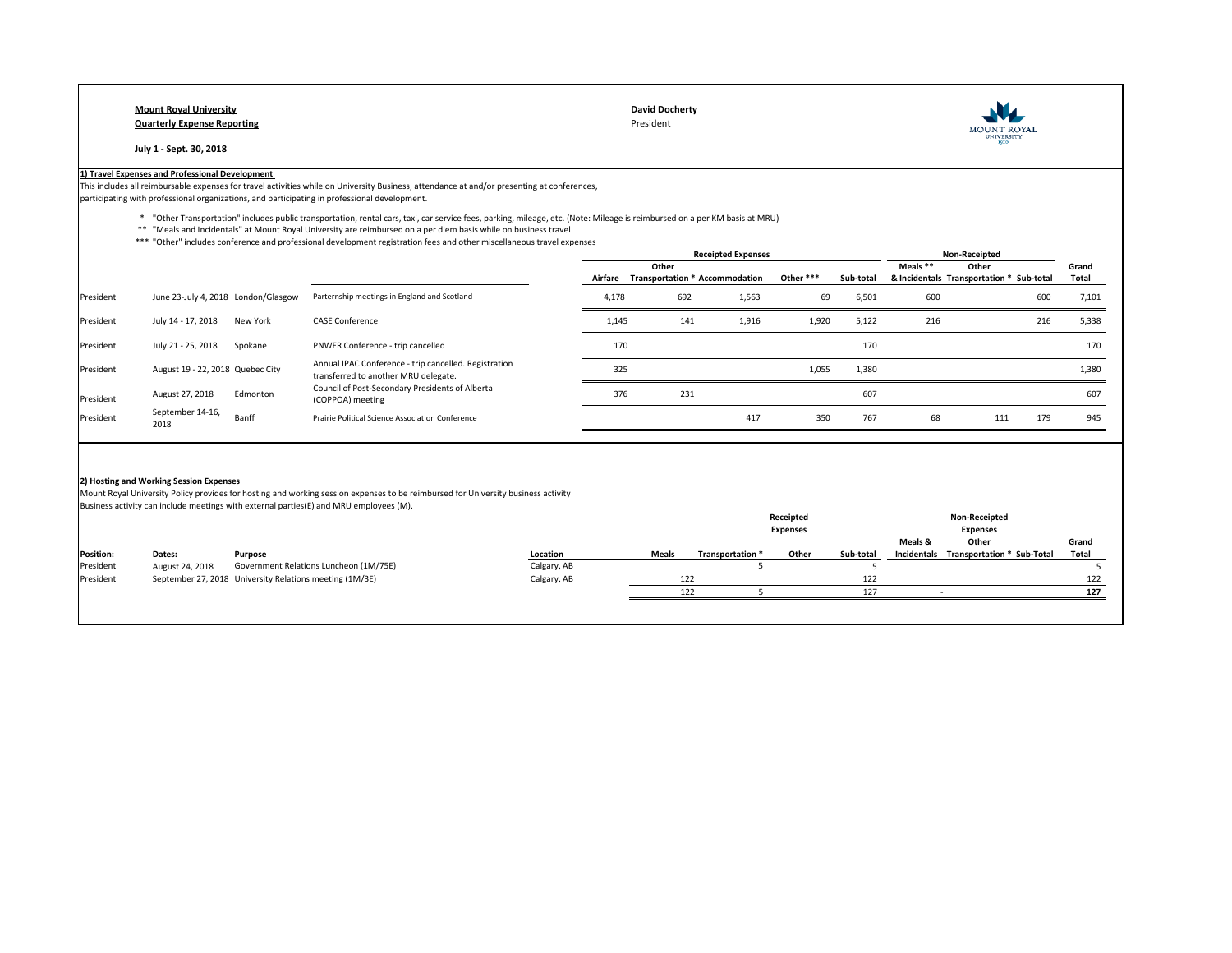## **Mount Royal University David Docherty Quarterly Expense Reporting** President

**July 1 - Sept. 30, 2018**

## **1) Travel Expenses and Professional Development**

This includes all reimbursable expenses for travel activities while on University Business, attendance at and/or presenting at conferences, participating with professional organizations, and participating in professional development.

- \* "Other Transportation" includes public transportation, rental cars, taxi, car service fees, parking, mileage, etc. (Note: Mileage is reimbursed on a per KM basis at MRU)
- \*\* "Meals and Incidentals" at Mount Royal University are reimbursed on a per diem basis while on business travel
- \*\*\* "Other" includes conference and professional development registration fees and other miscellaneous travel expenses

|           |                                         |          |                                                                                                                                   |       | <b>Receipted Expenses</b> |                                        |           |           | Non-Receipted |                                          |     |              |
|-----------|-----------------------------------------|----------|-----------------------------------------------------------------------------------------------------------------------------------|-------|---------------------------|----------------------------------------|-----------|-----------|---------------|------------------------------------------|-----|--------------|
|           |                                         |          |                                                                                                                                   |       | Other                     |                                        |           |           | Meals **      | Other                                    |     | Grand        |
|           |                                         |          |                                                                                                                                   |       |                           | Airfare Transportation * Accommodation | Other *** | Sub-total |               | & Incidentals Transportation * Sub-total |     | <b>Total</b> |
| President | June 23-July 4, 2018 London/Glasgow     |          | Parternship meetings in England and Scotland                                                                                      | 4,178 | 692                       | 1,563                                  | 69        | 6,501     | 600           |                                          | 600 | 7,101        |
| President | July 14 - 17, 2018                      | New York | <b>CASE Conference</b>                                                                                                            | 1,145 | 141                       | 1,916                                  | 1,920     | 5,122     | 216           |                                          | 216 | 5,338        |
| President | July 21 - 25, 2018                      | Spokane  | PNWER Conference - trip cancelled                                                                                                 | 170   |                           |                                        |           | 170       |               |                                          |     | 170          |
| President | August 19 - 22, 2018 Quebec City        |          | Annual IPAC Conference - trip cancelled. Registration<br>transferred to another MRU delegate.                                     | 325   |                           |                                        | 1,055     | 1,380     |               |                                          |     | 1,380        |
| President | August 27, 2018                         | Edmonton | Council of Post-Secondary Presidents of Alberta<br>(COPPOA) meeting                                                               | 376   | 231                       |                                        |           | 607       |               |                                          |     | 607          |
| President | September 14-16,<br>2018                | Banff    | <b>Prairie Political Science Association Conference</b>                                                                           |       |                           | 417                                    | 350       | 767       | 68            | 111                                      | 179 | 945          |
|           |                                         |          |                                                                                                                                   |       |                           |                                        |           |           |               |                                          |     |              |
|           | 2) Hosting and Working Session Expenses |          |                                                                                                                                   |       |                           |                                        |           |           |               |                                          |     |              |
|           |                                         |          | Mount Royal University Policy provides for hosting and working session expenses to be reimbursed for University business activity |       |                           |                                        |           |           |               |                                          |     |              |
|           |                                         |          | Business activity can include meetings with external parties(E) and MRU employees (M).                                            |       |                           |                                        |           |           |               |                                          |     |              |
|           |                                         |          |                                                                                                                                   |       |                           |                                        | Receipted |           |               | <b>Non-Receipted</b>                     |     |              |

| Grand                                             |
|---------------------------------------------------|
| <b>Total</b><br><b>Transportation * Sub-Total</b> |
|                                                   |
| 122                                               |
| 127                                               |
|                                                   |
|                                                   |